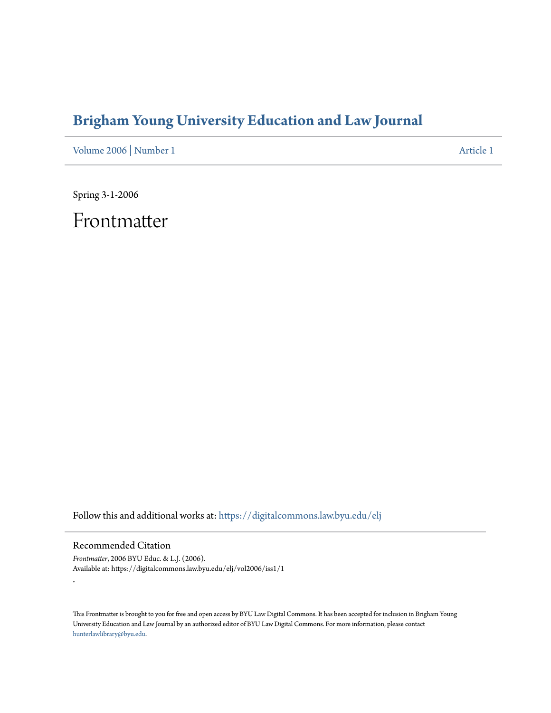# **[Brigham Young University Education and Law Journal](https://digitalcommons.law.byu.edu/elj?utm_source=digitalcommons.law.byu.edu%2Felj%2Fvol2006%2Fiss1%2F1&utm_medium=PDF&utm_campaign=PDFCoverPages)**

[Volume 2006](https://digitalcommons.law.byu.edu/elj/vol2006?utm_source=digitalcommons.law.byu.edu%2Felj%2Fvol2006%2Fiss1%2F1&utm_medium=PDF&utm_campaign=PDFCoverPages) | [Number 1](https://digitalcommons.law.byu.edu/elj/vol2006/iss1?utm_source=digitalcommons.law.byu.edu%2Felj%2Fvol2006%2Fiss1%2F1&utm_medium=PDF&utm_campaign=PDFCoverPages) [Article 1](https://digitalcommons.law.byu.edu/elj/vol2006/iss1/1?utm_source=digitalcommons.law.byu.edu%2Felj%2Fvol2006%2Fiss1%2F1&utm_medium=PDF&utm_campaign=PDFCoverPages)

Spring 3-1-2006

Frontmatter

Follow this and additional works at: [https://digitalcommons.law.byu.edu/elj](https://digitalcommons.law.byu.edu/elj?utm_source=digitalcommons.law.byu.edu%2Felj%2Fvol2006%2Fiss1%2F1&utm_medium=PDF&utm_campaign=PDFCoverPages)

Recommended Citation

.

*Frontmatter*, 2006 BYU Educ. & L.J. (2006). Available at: https://digitalcommons.law.byu.edu/elj/vol2006/iss1/1

This Frontmatter is brought to you for free and open access by BYU Law Digital Commons. It has been accepted for inclusion in Brigham Young University Education and Law Journal by an authorized editor of BYU Law Digital Commons. For more information, please contact [hunterlawlibrary@byu.edu.](mailto:hunterlawlibrary@byu.edu)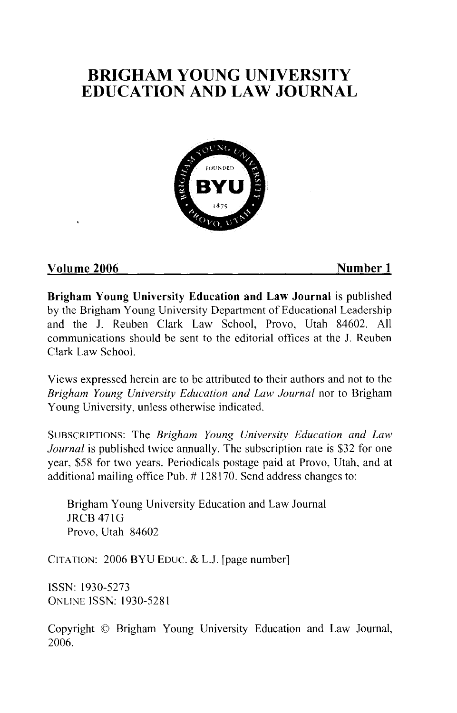

### **Volume 2006** Number 1

**Brigham Young University Education and Law Journal** is published by the Brigham Young University Department of Educational Leadership and the J. Reuben Clark Law School, Provo, Utah 84602. All communications should be sent to the editorial offices at the J. Reuben Clark Law School.

Views expressed herein are to be attributed to their authors and not to the *Brigham Young University Education and Law Journal* nor to Brigham Young University, unless otherwise indicated.

SUBSCRIPTIONS: The *Brigham Young University Education and Law Journal* is published twice annually. The subscription rate is \$32 for one year, \$58 for two years. Periodicals postage paid at Provo, Utah, and at additional mailing office Pub. # 128170. Send address changes to:

Brigham Young University Education and Law Journal JRCB 471G Provo, Utah 84602

CITATION: 2006 BYU EDUC. & L.J. [page number]

ISSN: 1930-5273 ONLINE ISSN: 1930-5281

Copyright © Brigham Young University Education and Law Journal, 2006.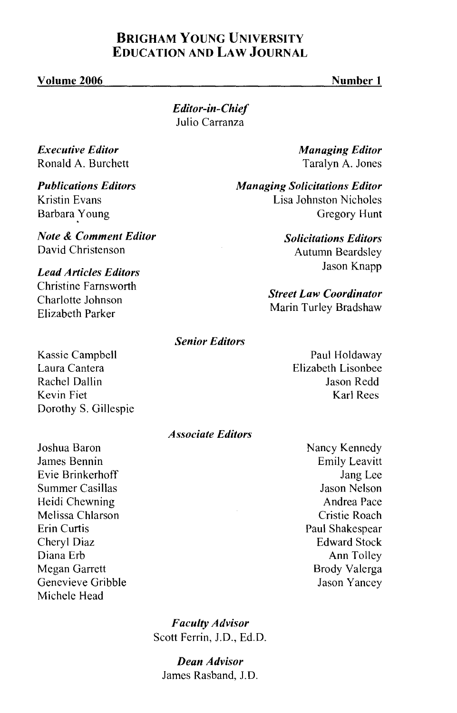#### Volume 2006

*Editor-in-Chief*  Julio Carranza

*Executive Editor*  Ronald A. Burchett

*Publications Editors*  Kristin Evans Barbara Young

*Note* & *Comment Editor*  David Christenson

*Lead Articles Editors*  Christine Farnsworth Charlotte Johnson Elizabeth Parker

*Managing Editor*  Taralyn A. Jones

*Managing Solicitations Editor*  Lisa Johnston Nicholes Gregory Hunt

> *Solicitations Editors*  Autumn Beardsley Jason Knapp

*Street Law Coordinator*  Marin Turley Bradshaw

*Senior Editors* 

Kassie Campbell Laura Cantera Rachel Dallin Kevin Fiet Dorothy S. Gillespie

Joshua Baron James Bennin Evie Brinkerhoff Summer Casillas Heidi Chewning Melissa Chlarson Erin Curtis Cheryl Diaz Diana Erb Megan Garrett Genevieve Gribble Michele Head

Paul Holdaway Elizabeth Lisonbee Jason Redd Karl Rees

*Associate Editors* 

Nancy Kennedy Emily Leavitt Jang Lee Jason Nelson Andrea Pace Cristie Roach Paul Shakespear Edward Stock Ann Tolley Brody Valerga Jason Yancey

*Faculty Advisor*  Scott Ferrin, J.D., Ed.D.

*Dean Advisor*  James Rasband, J.D.

#### Number 1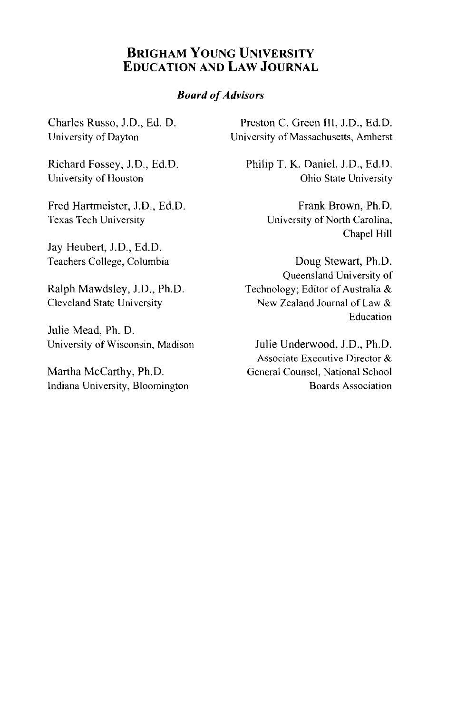#### *Board of Advisors*

Charles Russo, J.D., Ed. D. University of Dayton

Richard Fossey, J.D., Ed. D. University of Houston

Fred Hartmeister, J.D., Ed.D. Texas Tech University

Jay Heubert, J.D., Ed.D. Teachers College, Columbia

Ralph Mawdsley, J.D., Ph.D. Cleveland State University

Julie Mead, Ph. D. University of Wisconsin, Madison

Martha McCarthy, Ph.D. Indiana University, Bloomington

Preston C. Green III, J.D., Ed.D. University of Massachusetts, Amherst

Philip T. K. Daniel, J.D., Ed.D. Ohio State University

> Frank Brown, Ph.D. University of North Carolina, Chapel Hill

Doug Stewart, Ph.D. Queensland University of Technology; Editor of Australia & New Zealand Journal of Law & Education

Julie Underwood, J.D., Ph.D. Associate Executive Director & General Counsel, National School Boards Association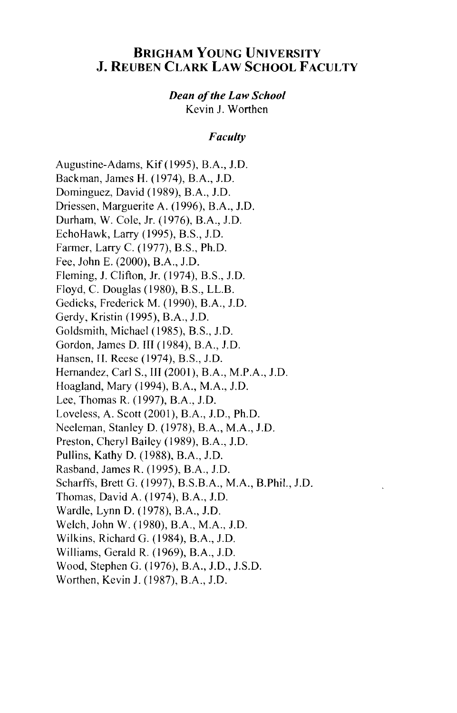### BRIGHAM YOUNG UNIVERSITY J. REUBEN CLARK LAW SCHOOL FACULTY

### *Dean of the Law School*

Kevin J. Worthen

#### *Faculty*

Augustine-Adams, Kif(l995), B.A., J.D. Backman, James H. (1974), B.A., J.D. Dominguez, David (1989), B.A., J.D. Driessen, Marguerite A. (1996), B.A., J.D. Durham, W. Cole, Jr. (1976), B.A., J.D. Echo Hawk, Larry ( 1995), B.S., J.D. Farmer, Larry C. ( 1977), B.S., Ph.D. Fee, John E. (2000), B.A., J.D. Fleming, J. Clifton, Jr. (1974), B.S., J.D. Floyd, C. Douglas (1980), B.S., LL.B. Gedicks, Frederick M. (1990), B.A., J.D. Gerdy, Kristin (1995), B.A., J.D. Goldsmith, Michael (1985), B.S., J.D. Gordon, James D. III (1984), B.A., J.D. Hansen, II. Reese (1974), B.S., J.D. Hernandez, CarlS., III (2001), B.A., M.P.A., J.D. Hoagland, Mary (1994), B.A., M.A., J.D. Lee, Thomas R. (1997), B.A., J.D. Loveless, A. Scott (2001), B.A., J.D., Ph.D. Neeleman, Stanley D. (1978), B.A., M.A., J.D. Preston, Cheryl Bailey (1989), B.A., J.D. Pullins, Kathy D. (1988), B.A., J.D. Rasband, James R. (1995), B.A., J.D. Scharffs, Brett G. (1997), B.S.B.A., M.A., B.Phil., J.D. Thomas, David A. (1974), B.A., J.D. Wardle, Lynn D. (1978), B.A., J.D. Welch, John W. (1980), B.A., M.A., J.D. Wilkins, Richard G. (1984), B.A., J.D. Williams, Gerald R. (1969), B.A., J.D. Wood, Stephen G. (1976), B.A., J.D., J.S.D. Worthen, Kevin J. (1987), B.A., J.D.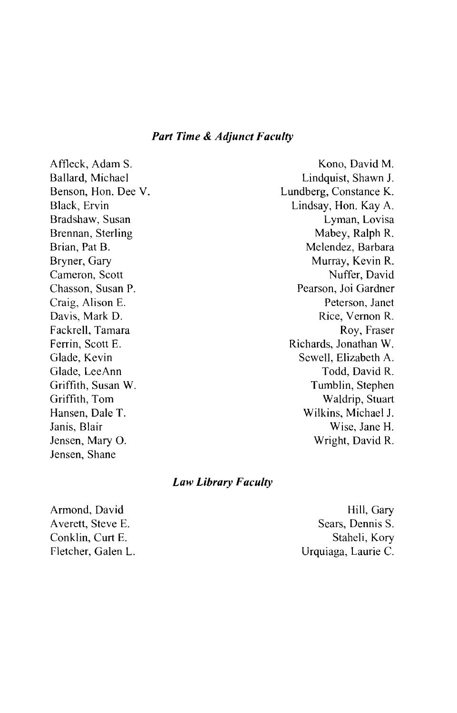#### *Part Time* **&** *Adjunct Faculty*

Affleck, Adam S. Ballard, Michael Benson, Hon. Dee V. Black, Ervin Bradshaw, Susan Brennan, Sterling Brian, Pat B. Bryner, Gary Cameron, Scott Chasson, Susan P. Craig, Alison E. Davis, Mark D. Fackrell, Tamara Ferrin, Scott E. Glade, Kevin Glade, LeeAnn Griffith, Susan W. Griffith, Tom Hansen, Dale T. Janis, Blair Jensen, Mary 0. Jensen, Shane

Kono, David M. Lindquist, Shawn J. Lundberg, Constance K. Lindsay, Hon. Kay A. Lyman, Lovisa Mabey, Ralph R. Melendez, Barbara Murray, Kevin R. Nuffer, David Pearson, Joi Gardner Peterson, Janet Rice, Vernon R. Roy, Fraser Richards, Jonathan W. Sewell, Elizabeth A. Todd, David R. Tumblin, Stephen Waldrip, Stuart Wilkins, Michael J. Wise, Jane H. Wright, David R.

#### *Law Library F acuity*

Armond, David Averett, Steve E. Conklin, Curt E. Fletcher, Galen L.

Hill, Gary Sears, Dennis S. Staheli, Kory Urquiaga, Laurie C.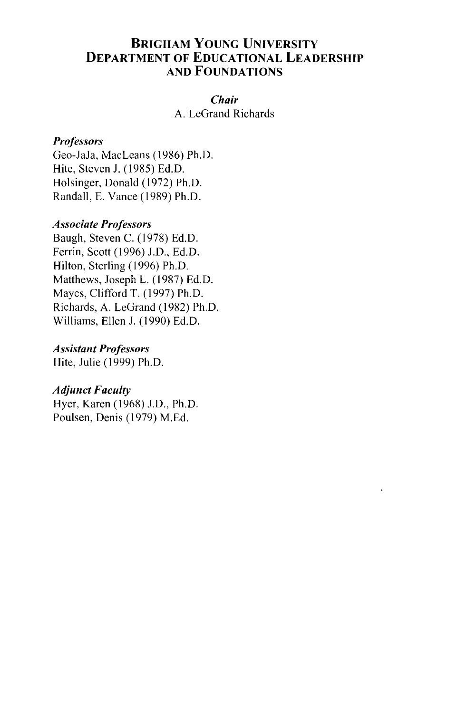### BRIGHAM YOUNG UNIVERSITY DEPARTMENT OF EDUCATIONAL LEADERSHIP AND FOUNDATIONS

#### *Chair*

A. LeGrand Richards

#### *Professors*

Geo-JaJa, MacLeans (1986) Ph.D. Hite, Steven J. (1985) Ed.D. Holsinger, Donald (1972) Ph.D. Randall, E. Vance (1989) Ph.D.

#### *Associate Professors*

Baugh, Steven C. (1978) Ed.D. Ferrin, Scott (1996) J.D., Ed.D. Hilton, Sterling (1996) Ph.D. Matthews, Joseph L. (1987) Ed.D. Mayes, Clifford T. (1997) Ph.D. Richards, A. LeGrand (1982) Ph.D. Williams, Ellen J. ( 1990) Ed. D.

#### *Assistant Professors*

Hite, Julie (1999) Ph.D.

#### *Adjunct Faculty*

Hyer, Karen (1968) J.D., Ph.D. Poulsen, Denis (1979) M.Ed.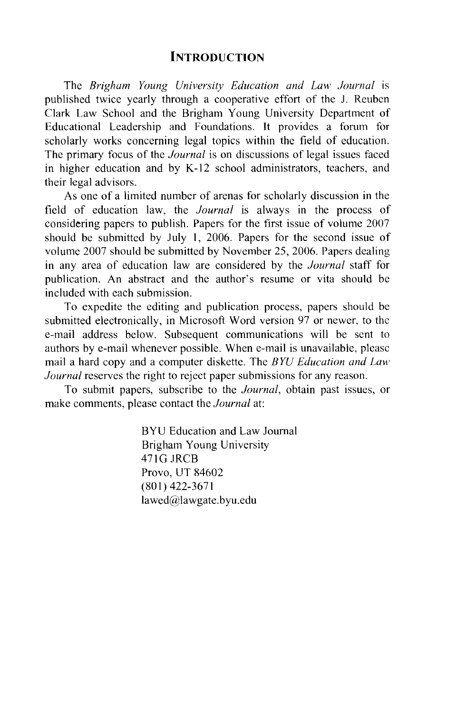#### **INTRODUCTION**

The *Brigham Young University Education and Law Journal* is published twice yearly through a cooperative effort of the J. Reuben Clark Law School and the Brigham Young University Department of Educational Leadership and Foundations. It provides a forum for scholarly works concerning legal topics within the field of education. The primary focus of the *Journal* is on discussions of legal issues faced in higher education and by K-12 school administrators, teachers, and their legal advisors.

As one of a limited number of arenas for scholarly discussion in the field of education law, the *Journal* is always in the process of considering papers to publish. Papers for the first issue of volume 2007 should be submitted by July I, 2006. Papers for the second issue of volume 2007 should be submitted by November 25, 2006. Papers dealing in any area of education law are considered by the *Journal* staff for publication. An abstract and the author's resume or vita should be included with each submission.

To expedite the editing and publication process, papers should be submitted electronically, in Microsoft Word version 97 or newer, to the e-mail address below. Subsequent communications will be sent to authors by e-mail whenever possible. When e-mail is unavailable, please mail a hard copy and a computer diskette. The *BYU Education and Law Journal* reserves the right to reject paper submissions for any reason.

To submit papers, subscribe to the *Journal,* obtain past issues, or make comments, please contact the *Journal* at:

> BYU Education and Law Journal Brigham Young University 471G JRCB Provo, UT 84602 (801) 422-3671 lawed@lawgate.byu.edu